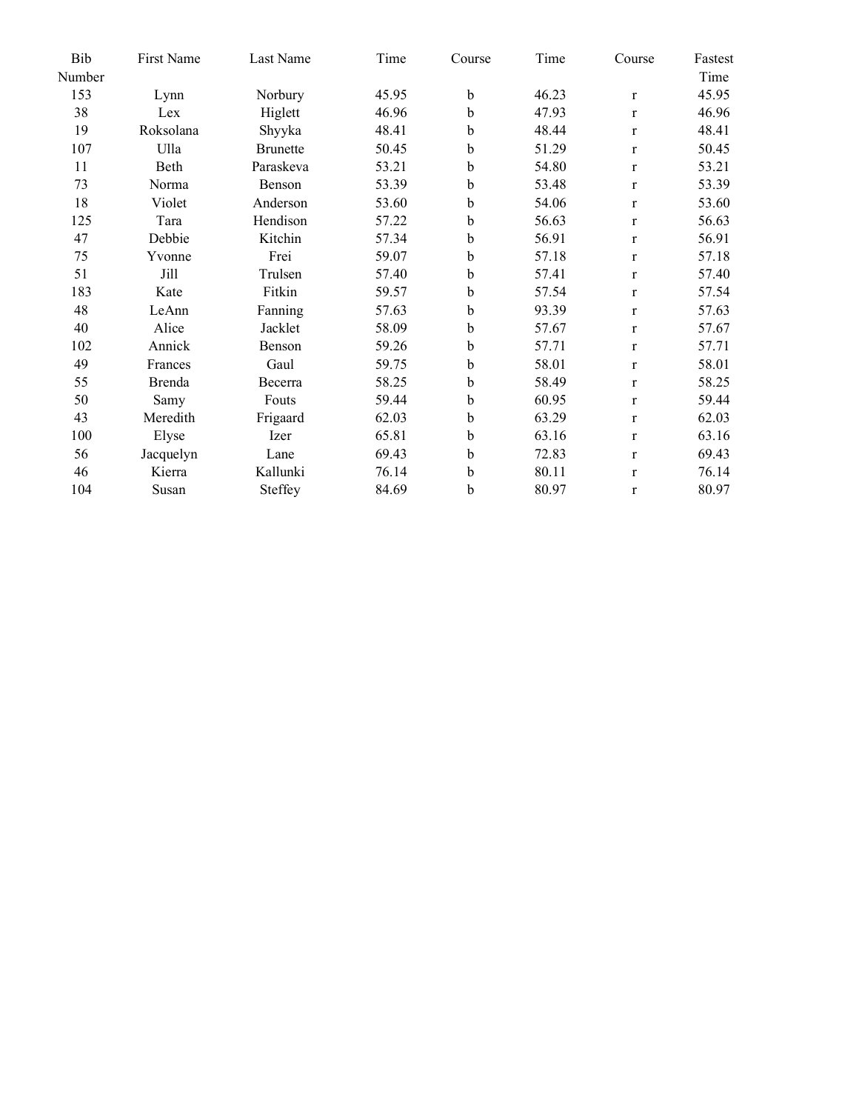| Bib    | First Name | Last Name       | Time  | Course      | Time  | Course       | Fastest |
|--------|------------|-----------------|-------|-------------|-------|--------------|---------|
| Number |            |                 |       |             |       |              | Time    |
| 153    | Lynn       | Norbury         | 45.95 | b           | 46.23 | $\mathbf r$  | 45.95   |
| 38     | Lex        | Higlett         | 46.96 | b           | 47.93 | $\mathbf{r}$ | 46.96   |
| 19     | Roksolana  | Shyyka          | 48.41 | $\mathbf b$ | 48.44 | $\bf r$      | 48.41   |
| 107    | Ulla       | <b>Brunette</b> | 50.45 | b           | 51.29 | $\mathbf{r}$ | 50.45   |
| 11     | Beth       | Paraskeva       | 53.21 | b           | 54.80 | $\mathbf{r}$ | 53.21   |
| 73     | Norma      | Benson          | 53.39 | b           | 53.48 | $\mathbf{r}$ | 53.39   |
| 18     | Violet     | Anderson        | 53.60 | $\mathbf b$ | 54.06 | $\mathbf{r}$ | 53.60   |
| 125    | Tara       | Hendison        | 57.22 | b           | 56.63 | $\mathbf{r}$ | 56.63   |
| 47     | Debbie     | Kitchin         | 57.34 | $\mathbf b$ | 56.91 | $\bf r$      | 56.91   |
| 75     | Yvonne     | Frei            | 59.07 | $\mathbf b$ | 57.18 | $\mathbf{r}$ | 57.18   |
| 51     | Jill       | Trulsen         | 57.40 | $\mathbf b$ | 57.41 | $\mathbf{r}$ | 57.40   |
| 183    | Kate       | Fitkin          | 59.57 | b           | 57.54 | $\mathbf{r}$ | 57.54   |
| 48     | LeAnn      | Fanning         | 57.63 | $\mathbf b$ | 93.39 | $\mathbf r$  | 57.63   |
| 40     | Alice      | Jacklet         | 58.09 | b           | 57.67 | $\mathbf{r}$ | 57.67   |
| 102    | Annick     | Benson          | 59.26 | b           | 57.71 | $\bf r$      | 57.71   |
| 49     | Frances    | Gaul            | 59.75 | b           | 58.01 | $\mathbf{r}$ | 58.01   |
| 55     | Brenda     | Becerra         | 58.25 | b           | 58.49 | $\bf r$      | 58.25   |
| 50     | Samy       | Fouts           | 59.44 | b           | 60.95 | $\mathbf{r}$ | 59.44   |
| 43     | Meredith   | Frigaard        | 62.03 | $\mathbf b$ | 63.29 | $\mathbf r$  | 62.03   |
| 100    | Elyse      | Izer            | 65.81 | b           | 63.16 | $\mathbf{r}$ | 63.16   |
| 56     | Jacquelyn  | Lane            | 69.43 | b           | 72.83 | $\bf r$      | 69.43   |
| 46     | Kierra     | Kallunki        | 76.14 | b           | 80.11 | $\mathbf{r}$ | 76.14   |
| 104    | Susan      | Steffey         | 84.69 | b           | 80.97 | $\bf r$      | 80.97   |